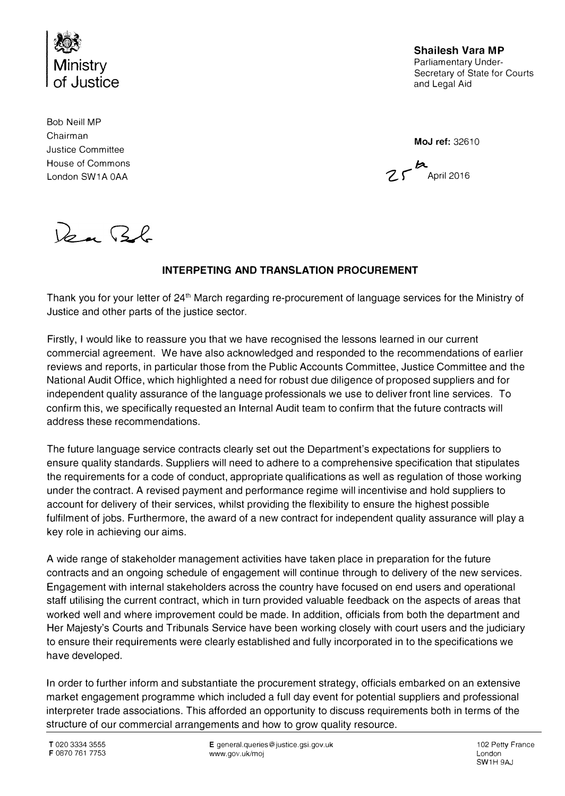

**Shailesh Vara MP**<br>Parliamentary Under-**Ministry**<br> **Parliamentary Under-**<br> **Parliamentary Under-**<br>
Secretary of State for Courts and Legal Aid

Bob Neill MP Chairman **MoJ ref:** 3261 O Justice Committee House of Commons */::,It..* 

London SW1A 0AA  $Z\mathcal{F}$  April 2016

Rear Bb

## INTERPETING AND TRANSLATION PROCUREMENT

Thank you for your letter of 241h March regarding re-procurement of language services for the Ministry of Justice and other parts of the justice sector.

Firstly, I would like to reassure you that we have recognised the lessons learned in our current commercial agreement. We have also acknowledged and responded to the recommendations of earlier reviews and reports, in particular those from the Public Accounts Committee, Justice Committee and the National Audit Office, which highlighted a need for robust due diligence of proposed suppliers and for independent quality assurance of the language professionals we use to deliver front line services. To confirm this, we specifically requested an Internal Audit team to confirm that the future contracts will address these recommendations.

The future language service contracts clearly set out the Department's expectations for suppliers to ensure quality standards. Suppliers will need to adhere to a comprehensive specification that stipulates the requirements for a code of conduct, appropriate qualifications as well as regulation of those working under the contract. A revised payment and performance regime will incentivise and hold suppliers to account for delivery of their services, whilst providing the flexibility to ensure the highest possible fulfilment of jobs. Furthermore, the award of a new contract for independent quality assurance will play a key role in achieving our aims.

A wide range of stakeholder management activities have taken place in preparation for the future contracts and an ongoing schedule of engagement will continue through to delivery of the new services. Engagement with internal stakeholders across the country have focused on end users and operational staff utilising the current contract, which in turn provided valuable feedback on the aspects of areas that worked well and where improvement could be made. In addition, officials from both the department and Her Majesty's Courts and Tribunals Service have been working closely with court users and the judiciary to ensure their requirements were clearly established and fully incorporated in to the specifications we have developed.

In order to further inform and substantiate the procurement strategy, officials embarked on an extensive market engagement programme which included a full day event for potential suppliers and professional interpreter trade associations. This afforded an opportunity to discuss requirements both in terms of the structure of our commercial arrangements and how to grow quality resource.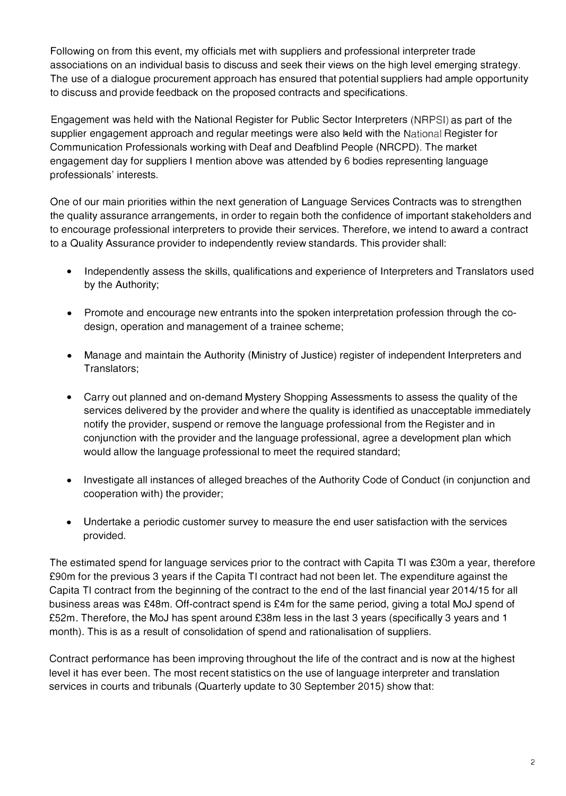Following on from this event, my officials met with suppliers and professional interpreter trade associations on an individual basis to discuss and seek their views on the high level emerging strategy. The use of a dialogue procurement approach has ensured that potential suppliers had ample opportunity to discuss and provide feedback on the proposed contracts and specifications.

Engagement was held with the National Register for Public Sector Interpreters (NRPSI) as part of the supplier engagement approach and regular meetings were also held with the National Register for Communication Professionals working with Deaf and Deafblind People (NRCPD). The market engagement day for suppliers I mention above was attended by 6 bodies representing language professionals' interests.

One of our main priorities within the next generation of Language Services Contracts was to strengthen the quality assurance arrangements, in order to regain both the confidence of important stakeholders and to encourage professional interpreters to provide their services. Therefore, we intend to award a contract to a Quality Assurance provider to independently review standards. This provider shall:

- Independently assess the skills, qualifications and experience of Interpreters and Translators used by the Authority;
- Promote and encourage new entrants into the spoken interpretation profession through the codesign, operation and management of a trainee scheme;
- Manage and maintain the Authority (Ministry of Justice) register of independent Interpreters and Translators;
- Carry out planned and on-demand Mystery Shopping Assessments to assess the quality of the services delivered by the provider and where the quality is identified as unacceptable immediately notify the provider, suspend or remove the language professional from the Register and in conjunction with the provider and the language professional, agree a development plan which would allow the language professional to meet the required standard;
- Investigate all instances of alleged breaches of the Authority Code of Conduct (in conjunction and cooperation with) the provider;
- Undertake a periodic customer survey to measure the end user satisfaction with the services provided.

The estimated spend for language services prior to the contract with Capita Tl was £30m a year, therefore £90m for the previous 3 years if the Capita Tl contract had not been let. The expenditure against the Capita Tl contract from the beginning of the contract to the end of the last financial year 2014/15 for all business areas was £48m. Off-contract spend is £4m for the same period, giving a total MoJ spend of £52m. Therefore, the MoJ has spent around £38m less in the last 3 years (specifically 3 years and 1 month). This is as a result of consolidation of spend and rationalisation of suppliers.

Contract performance has been improving throughout the life of the contract and is now at the highest level it has ever been. The most recent statistics on the use of language interpreter and translation services in courts and tribunals (Quarterly update to 30 September 2015) show that: